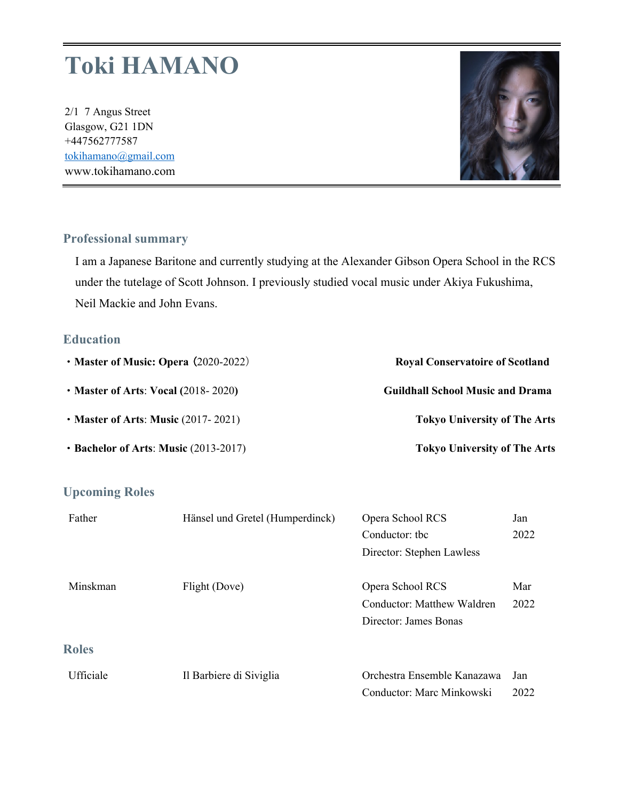# **Toki HAMANO**

2/1 7 Angus Street Glasgow, G21 1DN +447562777587 tokihamano@gmail.com www.tokihamano.com



### **Professional summary**

I am a Japanese Baritone and currently studying at the Alexander Gibson Opera School in the RCS under the tutelage of Scott Johnson. I previously studied vocal music under Akiya Fukushima, Neil Mackie and John Evans.

#### **Education**

| • Master of Music: Opera (2020-2022)    | <b>Royal Conservatoire of Scotland</b>  |  |
|-----------------------------------------|-----------------------------------------|--|
| • Master of Arts: Vocal $(2018 - 2020)$ | <b>Guildhall School Music and Drama</b> |  |
| • Master of Arts: Music $(2017 - 2021)$ | <b>Tokyo University of The Arts</b>     |  |
| • Bachelor of Arts: Music (2013-2017)   | <b>Tokyo University of The Arts</b>     |  |

#### **Upcoming Roles**

| Father       | Hänsel und Gretel (Humperdinck) | Opera School RCS                  | Jan  |
|--------------|---------------------------------|-----------------------------------|------|
|              |                                 | Conductor: the                    | 2022 |
|              |                                 | Director: Stephen Lawless         |      |
| Minskman     | Flight (Dove)                   | Opera School RCS                  | Mar  |
|              |                                 | <b>Conductor: Matthew Waldren</b> | 2022 |
|              |                                 | Director: James Bonas             |      |
| <b>Roles</b> |                                 |                                   |      |
| Ufficiale    | Il Barbiere di Siviglia         | Orchestra Ensemble Kanazawa       | Jan  |
|              |                                 | Conductor: Marc Minkowski         | 2022 |